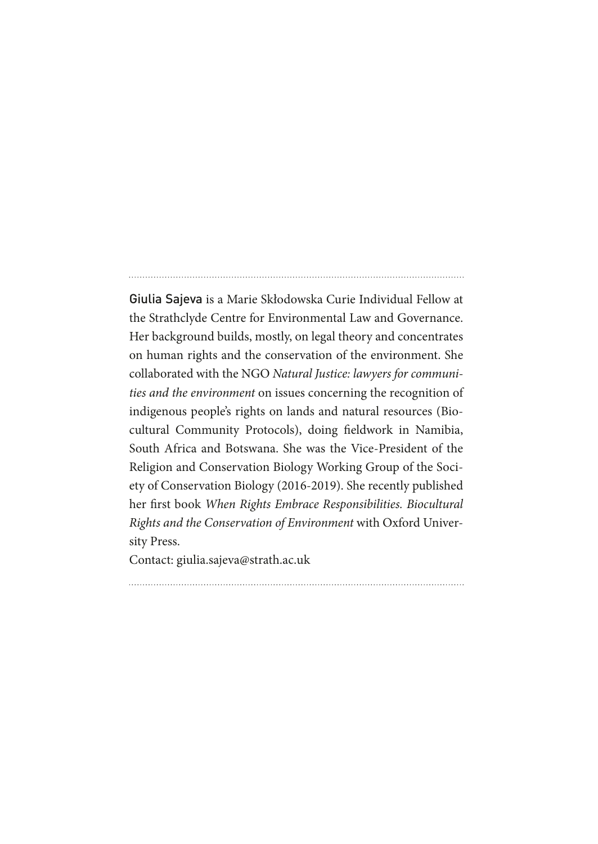Giulia Sajeva is a Marie Skłodowska Curie Individual Fellow at the Strathclyde Centre for Environmental Law and Governance. Her background builds, mostly, on legal theory and concentrates on human rights and the conservation of the environment. She collaborated with the NGO *Natural Justice: lawyers for communities and the environment* on issues concerning the recognition of indigenous people's rights on lands and natural resources (Biocultural Community Protocols), doing feldwork in Namibia, South Africa and Botswana. She was the Vice-President of the Religion and Conservation Biology Working Group of the Society of Conservation Biology (2016-2019). She recently published her frst book *When Rights Embrace Responsibilities. Biocultural Rights and the Conservation of Environment* with Oxford University Press.

Contact: giulia.sajeva@strath.ac.uk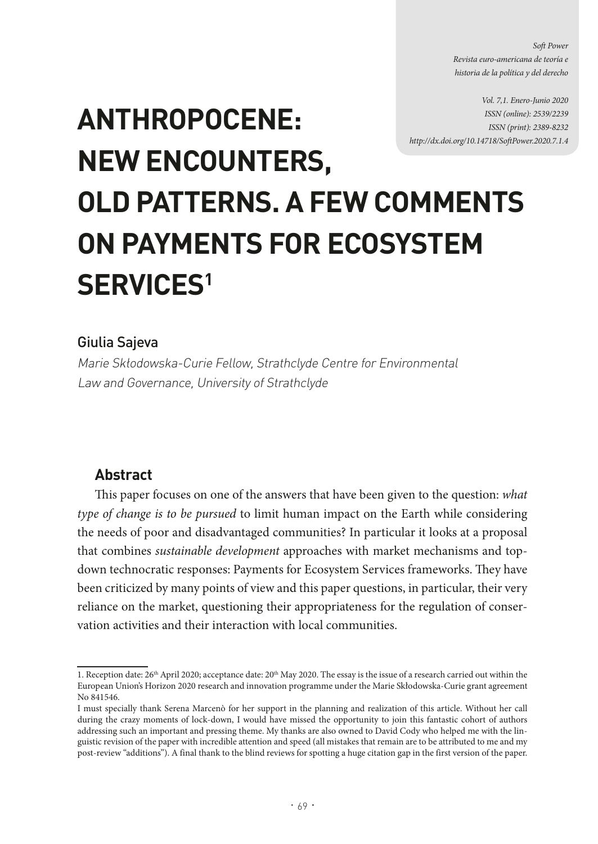*Soft Power Revista euro-americana de teoría e historia de la política y del derecho* 

*Vol. 7,1. Enero-Junio 2020 ISSN (online): 2539/2239 ISSN (print): 2389-8232 http://dx.doi.org/10.14718/SofPower.2020.7.1.4* 

# **ANTHROPOCENE: NEW ENCOUNTERS, OLD PATTERNS. A FEW COMMENTS ON PAYMENTS FOR ECOSYSTEM SERVICES1**

## Giulia Sajeva

Marie Skłodowska-Curie Fellow, Strathclyde Centre for Environmental Law and Governance, University of Strathclyde<sup>1</sup>

# **Abstract**

Tis paper focuses on one of the answers that have been given to the question: *what type of change is to be pursued* to limit human impact on the Earth while considering the needs of poor and disadvantaged communities? In particular it looks at a proposal that combines *sustainable development* approaches with market mechanisms and topdown technocratic responses: Payments for Ecosystem Services frameworks. They have been criticized by many points of view and this paper questions, in particular, their very reliance on the market, questioning their appropriateness for the regulation of conservation activities and their interaction with local communities.

<sup>1.</sup> Reception date:  $26<sup>th</sup>$  April 2020; acceptance date:  $20<sup>th</sup>$  May 2020. The essay is the issue of a research carried out within the European Union's Horizon 2020 research and innovation programme under the Marie Skłodowska-Curie grant agreement No 841546.

I must specially thank Serena Marcenò for her support in the planning and realization of this article. Without her call during the crazy moments of lock-down, I would have missed the opportunity to join this fantastic cohort of authors addressing such an important and pressing theme. My thanks are also owned to David Cody who helped me with the linguistic revision of the paper with incredible attention and speed (all mistakes that remain are to be attributed to me and my post-review "additions"). A final thank to the blind reviews for spotting a huge citation gap in the first version of the paper.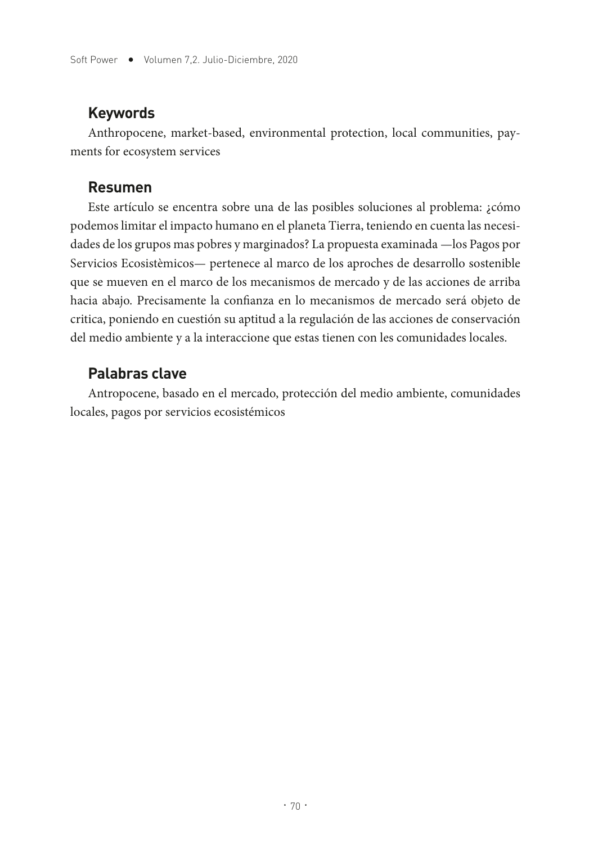## **Keywords**

Anthropocene, market-based, environmental protection, local communities, payments for ecosystem services

### **Resumen**

Este artículo se encentra sobre una de las posibles soluciones al problema: ¿cómo podemos limitar el impacto humano en el planeta Tierra, teniendo en cuenta las necesidades de los grupos mas pobres y marginados? La propuesta examinada —los Pagos por Servicios Ecosistèmicos— pertenece al marco de los aproches de desarrollo sostenible que se mueven en el marco de los mecanismos de mercado y de las acciones de arriba hacia abajo. Precisamente la confanza en lo mecanismos de mercado será objeto de critica, poniendo en cuestión su aptitud a la regulación de las acciones de conservación del medio ambiente y a la interaccione que estas tienen con les comunidades locales.

# **Palabras clave**

Antropocene, basado en el mercado, protección del medio ambiente, comunidades locales, pagos por servicios ecosistémicos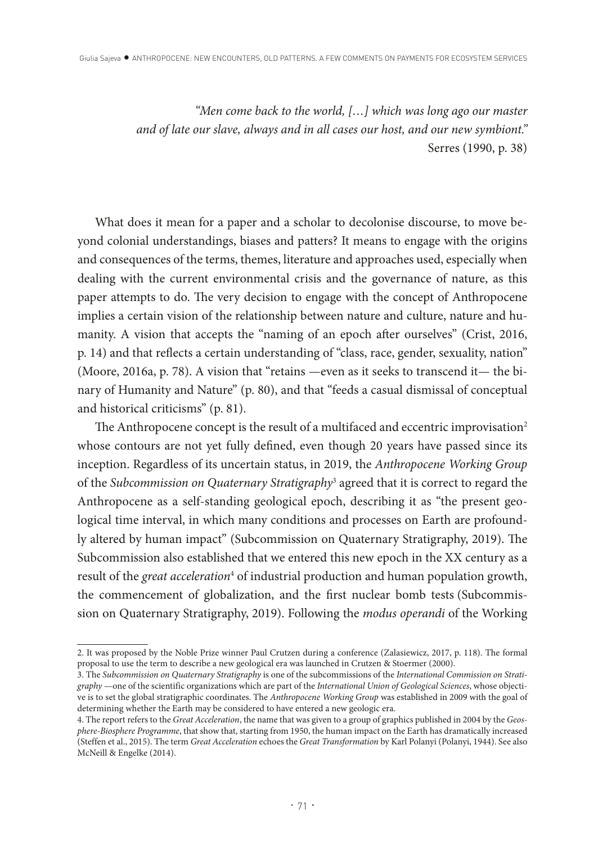*"Men come back to the world, […] which was long ago our master and of late our slave, always and in all cases our host, and our new symbiont."* Serres (1990, p. 38)

What does it mean for a paper and a scholar to decolonise discourse, to move beyond colonial understandings, biases and patters? It means to engage with the origins and consequences of the terms, themes, literature and approaches used, especially when dealing with the current environmental crisis and the governance of nature, as this paper attempts to do. The very decision to engage with the concept of Anthropocene implies a certain vision of the relationship between nature and culture, nature and humanity. A vision that accepts the "naming of an epoch afer ourselves" (Crist, 2016, p. 14) and that refects a certain understanding of "class, race, gender, sexuality, nation" (Moore, 2016a, p. 78). A vision that "retains —even as it seeks to transcend it— the binary of Humanity and Nature" (p. 80), and that "feeds a casual dismissal of conceptual and historical criticisms" (p. 81).

The Anthropocene concept is the result of a multifaced and eccentric improvisation<sup>2</sup> whose contours are not yet fully defned, even though 20 years have passed since its inception. Regardless of its uncertain status, in 2019, the *Anthropocene Working Group* of the *Subcommission on Quaternary Stratigraphy*<sup>3</sup> agreed that it is correct to regard the Anthropocene as a self-standing geological epoch, describing it as "the present geological time interval, in which many conditions and processes on Earth are profoundly altered by human impact" (Subcommission on Quaternary Stratigraphy, 2019). The Subcommission also established that we entered this new epoch in the XX century as a result of the *great acceleration<sup>4</sup>* of industrial production and human population growth, the commencement of globalization, and the frst nuclear bomb tests (Subcommission on Quaternary Stratigraphy, 2019). Following the *modus operandi* of the Working

<sup>2.</sup> It was proposed by the Noble Prize winner Paul Crutzen during a conference (Zalasiewicz, 2017, p. 118). The formal proposal to use the term to describe a new geological era was launched in Crutzen & Stoermer (2000).

<sup>3.</sup> The *Subcommission on Quaternary Stratigraphy* is one of the subcommissions of the *International Commission on Stratigraphy* —one of the scientific organizations which are part of the *International Union of Geological Sciences*, whose objective is to set the global stratigraphic coordinates. The *Anthropocene Working Group* was established in 2009 with the goal of determining whether the Earth may be considered to have entered a new geologic era.

<sup>4.</sup> The report refers to the *Great Acceleration*, the name that was given to a group of graphics published in 2004 by the *Geosphere-Biosphere Programme*, that show that, starting from 1950, the human impact on the Earth has dramatically increased (Steffen et al., 2015). The term *Great Acceleration* echoes the *Great Transformation* by Karl Polanyi (Polanyi, 1944). See also McNeill & Engelke (2014).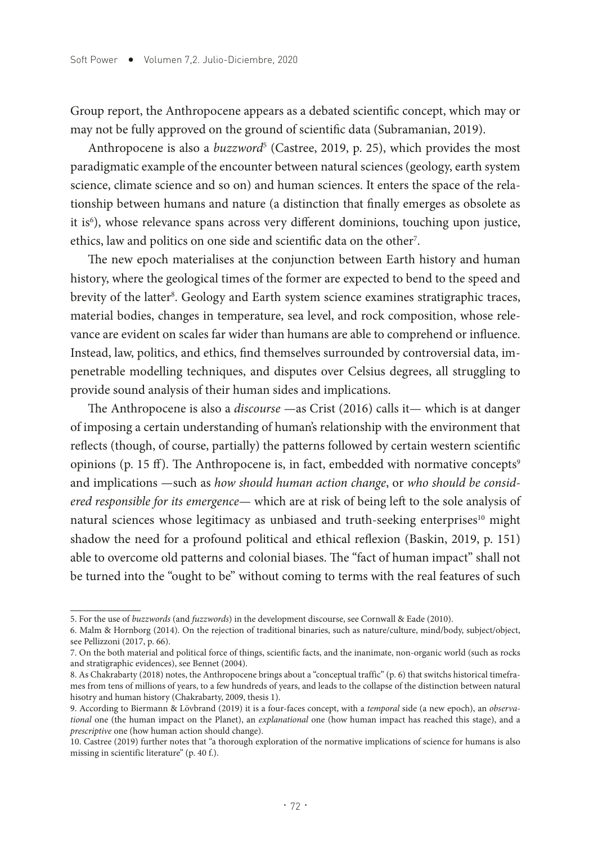Group report, the Anthropocene appears as a debated scientifc concept, which may or may not be fully approved on the ground of scientifc data (Subramanian, 2019).

Anthropocene is also a *buzzword*<sup>5</sup> (Castree, 2019, p. 25), which provides the most paradigmatic example of the encounter between natural sciences (geology, earth system science, climate science and so on) and human sciences. It enters the space of the relationship between humans and nature (a distinction that fnally emerges as obsolete as it is<sup>6</sup>), whose relevance spans across very different dominions, touching upon justice, ethics, law and politics on one side and scientifc data on the other7 .

The new epoch materialises at the conjunction between Earth history and human history, where the geological times of the former are expected to bend to the speed and brevity of the latter<sup>s</sup>. Geology and Earth system science examines stratigraphic traces, material bodies, changes in temperature, sea level, and rock composition, whose relevance are evident on scales far wider than humans are able to comprehend or infuence. Instead, law, politics, and ethics, fnd themselves surrounded by controversial data, impenetrable modelling techniques, and disputes over Celsius degrees, all struggling to provide sound analysis of their human sides and implications.

The Anthropocene is also a *discourse* —as Crist (2016) calls it— which is at danger of imposing a certain understanding of human's relationship with the environment that refects (though, of course, partially) the patterns followed by certain western scientifc opinions (p. 15 ff). The Anthropocene is, in fact, embedded with normative concepts $\degree$ and implications —such as *how should human action change*, or *who should be considered responsible for its emergence*— which are at risk of being left to the sole analysis of natural sciences whose legitimacy as unbiased and truth-seeking enterprises<sup>10</sup> might shadow the need for a profound political and ethical refexion (Baskin, 2019, p. 151) able to overcome old patterns and colonial biases. The "fact of human impact" shall not be turned into the "ought to be" without coming to terms with the real features of such

<sup>5.</sup> For the use of *buzzwords* (and *fuzzwords*) in the development discourse, see Cornwall & Eade (2010).

<sup>6.</sup> Malm & Hornborg (2014). On the rejection of traditional binaries, such as nature/culture, mind/body, subject/object, see Pellizzoni (2017, p. 66).

<sup>7.</sup> On the both material and political force of things, scientific facts, and the inanimate, non-organic world (such as rocks and stratigraphic evidences), see Bennet (2004).

<sup>8.</sup> As Chakrabarty (2018) notes, the Anthropocene brings about a "conceptual traffic" (p. 6) that switchs historical timeframes from tens of millions of years, to a few hundreds of years, and leads to the collapse of the distinction between natural hisotry and human history (Chakrabarty, 2009, thesis 1).

<sup>9.</sup> According to Biermann & Lövbrand (2019) it is a four-faces concept, with a *temporal* side (a new epoch), an *observational* one (the human impact on the Planet), an *explanational* one (how human impact has reached this stage), and a *prescriptive* one (how human action should change).

<sup>10.</sup> Castree (2019) further notes that "a thorough exploration of the normative implications of science for humans is also missing in scientific literature" (p. 40 f.).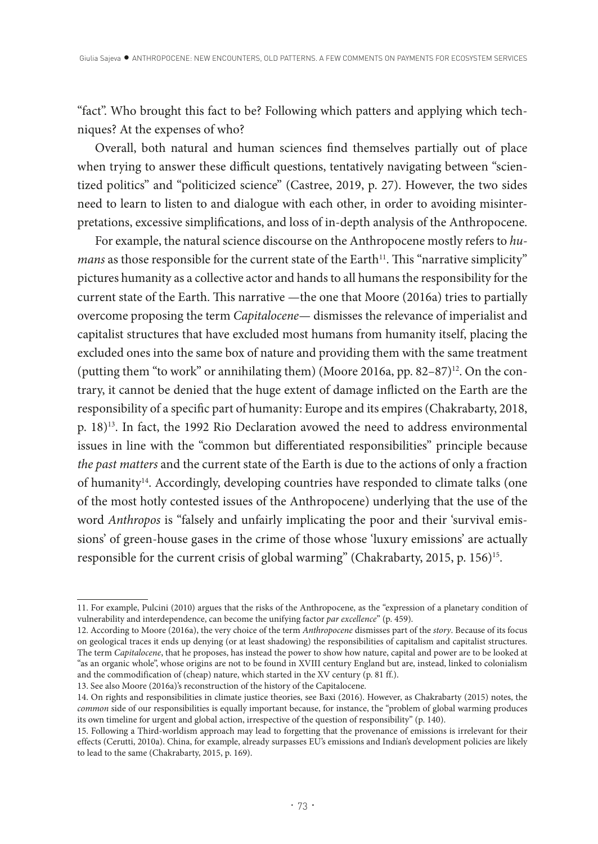"fact". Who brought this fact to be? Following which patters and applying which techniques? At the expenses of who?

Overall, both natural and human sciences fnd themselves partially out of place when trying to answer these difficult questions, tentatively navigating between "scientized politics" and "politicized science" (Castree, 2019, p. 27). However, the two sides need to learn to listen to and dialogue with each other, in order to avoiding misinterpretations, excessive simplifcations, and loss of in-depth analysis of the Anthropocene.

For example, the natural science discourse on the Anthropocene mostly refers to *humans* as those responsible for the current state of the Earth<sup>11</sup>. This "narrative simplicity" pictures humanity as a collective actor and hands to all humans the responsibility for the current state of the Earth. Tis narrative —the one that Moore (2016a) tries to partially overcome proposing the term *Capitalocene—* dismisses the relevance of imperialist and capitalist structures that have excluded most humans from humanity itself, placing the excluded ones into the same box of nature and providing them with the same treatment (putting them "to work" or annihilating them) (Moore 2016a, pp.  $82-87$ )<sup>12</sup>. On the contrary, it cannot be denied that the huge extent of damage inficted on the Earth are the responsibility of a specifc part of humanity: Europe and its empires (Chakrabarty, 2018, p. 18)13. In fact, the 1992 Rio Declaration avowed the need to address environmental issues in line with the "common but diferentiated responsibilities" principle because *the past matters* and the current state of the Earth is due to the actions of only a fraction of humanity<sup>14</sup>. Accordingly, developing countries have responded to climate talks (one of the most hotly contested issues of the Anthropocene) underlying that the use of the word *Anthropos* is "falsely and unfairly implicating the poor and their 'survival emissions' of green-house gases in the crime of those whose 'luxury emissions' are actually responsible for the current crisis of global warming" (Chakrabarty, 2015, p. 156)<sup>15</sup>.

<sup>11.</sup> For example, Pulcini (2010) argues that the risks of the Anthropocene, as the "expression of a planetary condition of vulnerability and interdependence, can become the unifying factor *par excellence*" (p. 459).

<sup>12.</sup> According to Moore (2016a), the very choice of the term *Anthropocene* dismisses part of the *story*. Because of its focus on geological traces it ends up denying (or at least shadowing) the responsibilities of capitalism and capitalist structures. The term *Capitalocene*, that he proposes, has instead the power to show how nature, capital and power are to be looked at "as an organic whole", whose origins are not to be found in XVIII century England but are, instead, linked to colonialism and the commodification of (cheap) nature, which started in the XV century (p. 81 ff.).

<sup>13.</sup> See also Moore (2016a)'s reconstruction of the history of the Capitalocene.

<sup>14.</sup> On rights and responsibilities in climate justice theories, see Baxi (2016). However, as Chakrabarty (2015) notes, the *common* side of our responsibilities is equally important because, for instance, the "problem of global warming produces its own timeline for urgent and global action, irrespective of the question of responsibility" (p. 140).

<sup>15.</sup> Following a Third-worldism approach may lead to forgetting that the provenance of emissions is irrelevant for their effects (Cerutti, 2010a). China, for example, already surpasses EU's emissions and Indian's development policies are likely to lead to the same (Chakrabarty, 2015, p. 169).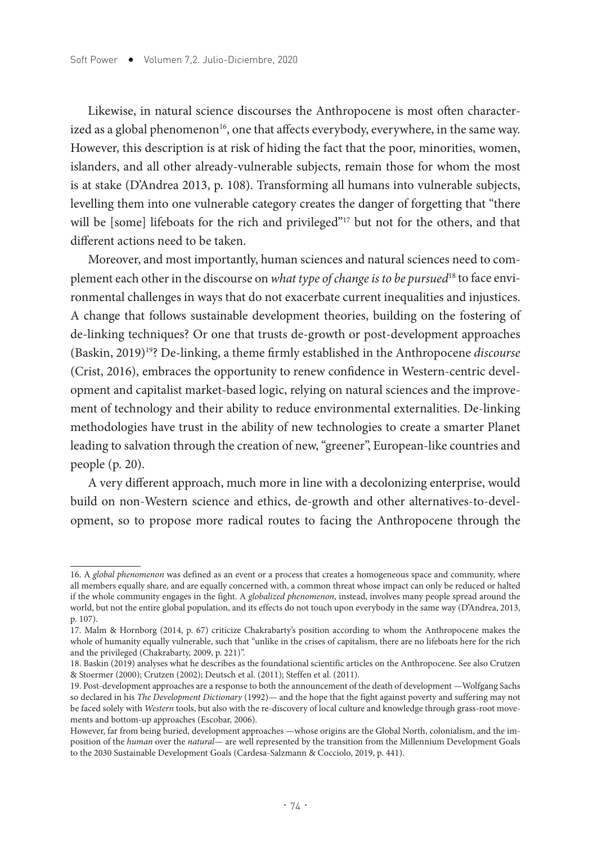Likewise, in natural science discourses the Anthropocene is most ofen characterized as a global phenomenon<sup>16</sup>, one that affects everybody, everywhere, in the same way. However, this description is at risk of hiding the fact that the poor, minorities, women, islanders, and all other already-vulnerable subjects, remain those for whom the most is at stake (D'Andrea 2013, p. 108). Transforming all humans into vulnerable subjects, levelling them into one vulnerable category creates the danger of forgetting that "there will be [some] lifeboats for the rich and privileged"<sup>17</sup> but not for the others, and that diferent actions need to be taken.

Moreover, and most importantly, human sciences and natural sciences need to complement each other in the discourse on *what type of change is to be pursued*<sup>18</sup> to face environmental challenges in ways that do not exacerbate current inequalities and injustices. A change that follows sustainable development theories, building on the fostering of de-linking techniques? Or one that trusts de-growth or post-development approaches (Baskin, 2019)19? De-linking, a theme frmly established in the Anthropocene *discourse* (Crist, 2016), embraces the opportunity to renew confdence in Western-centric development and capitalist market-based logic, relying on natural sciences and the improvement of technology and their ability to reduce environmental externalities. De-linking methodologies have trust in the ability of new technologies to create a smarter Planet leading to salvation through the creation of new, "greener", European-like countries and people (p. 20).

A very diferent approach, much more in line with a decolonizing enterprise, would build on non-Western science and ethics, de-growth and other alternatives-to-development, so to propose more radical routes to facing the Anthropocene through the

<sup>16.</sup> A *global phenomenon* was defined as an event or a process that creates a homogeneous space and community, where all members equally share, and are equally concerned with, a common threat whose impact can only be reduced or halted if the whole community engages in the fight. A *globalized phenomenon*, instead, involves many people spread around the world, but not the entire global population, and its effects do not touch upon everybody in the same way (D'Andrea, 2013, p. 107).

<sup>17.</sup> Malm & Hornborg (2014, p. 67) criticize Chakrabarty's position according to whom the Anthropocene makes the whole of humanity equally vulnerable, such that "unlike in the crises of capitalism, there are no lifeboats here for the rich and the privileged (Chakrabarty, 2009, p. 221)".

<sup>18.</sup> Baskin (2019) analyses what he describes as the foundational scientific articles on the Anthropocene. See also Crutzen & Stoermer (2000); Crutzen (2002); Deutsch et al. (2011); Steffen et al. (2011).

<sup>19.</sup> Post-development approaches are a response to both the announcement of the death of development —Wolfgang Sachs so declared in his *The Development Dictionary* (1992)— and the hope that the fight against poverty and suffering may not be faced solely with *Western* tools, but also with the re-discovery of local culture and knowledge through grass-root movements and bottom-up approaches (Escobar, 2006).

However, far from being buried, development approaches —whose origins are the Global North, colonialism, and the imposition of the *human* over the *natural*— are well represented by the transition from the Millennium Development Goals to the 2030 Sustainable Development Goals (Cardesa-Salzmann & Cocciolo, 2019, p. 441).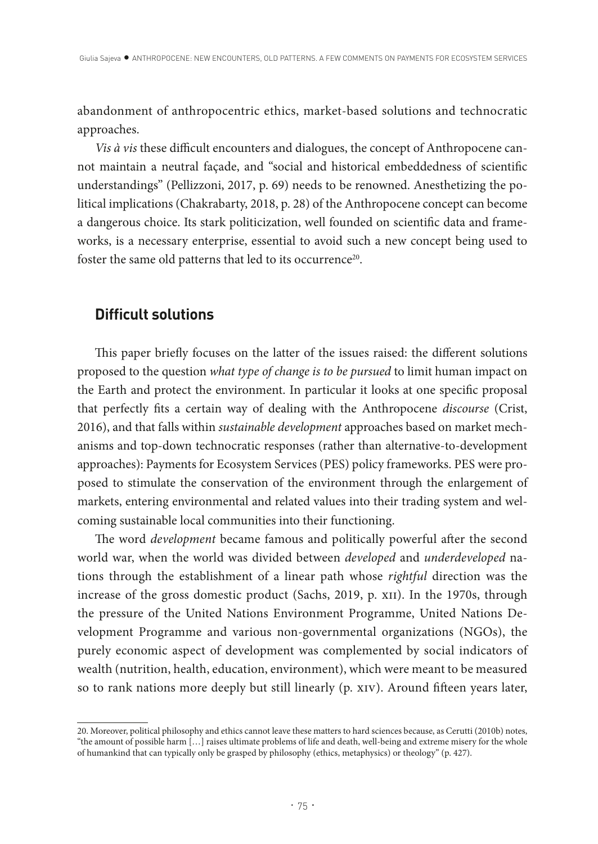abandonment of anthropocentric ethics, market-based solutions and technocratic approaches.

*Vis à vis* these difficult encounters and dialogues, the concept of Anthropocene cannot maintain a neutral façade, and "social and historical embeddedness of scientifc understandings" (Pellizzoni, 2017, p. 69) needs to be renowned. Anesthetizing the political implications (Chakrabarty, 2018, p. 28) of the Anthropocene concept can become a dangerous choice. Its stark politicization, well founded on scientifc data and frameworks, is a necessary enterprise, essential to avoid such a new concept being used to foster the same old patterns that led to its occurrence<sup>20</sup>.

## **Difficult solutions**

This paper briefly focuses on the latter of the issues raised: the different solutions proposed to the question *what type of change is to be pursued* to limit human impact on the Earth and protect the environment. In particular it looks at one specifc proposal that perfectly fts a certain way of dealing with the Anthropocene *discourse* (Crist, 2016), and that falls within *sustainable development* approaches based on market mechanisms and top-down technocratic responses (rather than alternative-to-development approaches): Payments for Ecosystem Services (PES) policy frameworks. PES were proposed to stimulate the conservation of the environment through the enlargement of markets, entering environmental and related values into their trading system and welcoming sustainable local communities into their functioning.

The word *development* became famous and politically powerful after the second world war, when the world was divided between *developed* and *underdeveloped* nations through the establishment of a linear path whose *rightful* direction was the increase of the gross domestic product (Sachs, 2019, p. xii). In the 1970s, through the pressure of the United Nations Environment Programme, United Nations Development Programme and various non-governmental organizations (NGOs), the purely economic aspect of development was complemented by social indicators of wealth (nutrition, health, education, environment), which were meant to be measured so to rank nations more deeply but still linearly (p. xiv). Around fifteen years later,

<sup>20.</sup> Moreover, political philosophy and ethics cannot leave these matters to hard sciences because, as Cerutti (2010b) notes, "the amount of possible harm […] raises ultimate problems of life and death, well-being and extreme misery for the whole of humankind that can typically only be grasped by philosophy (ethics, metaphysics) or theology" (p. 427).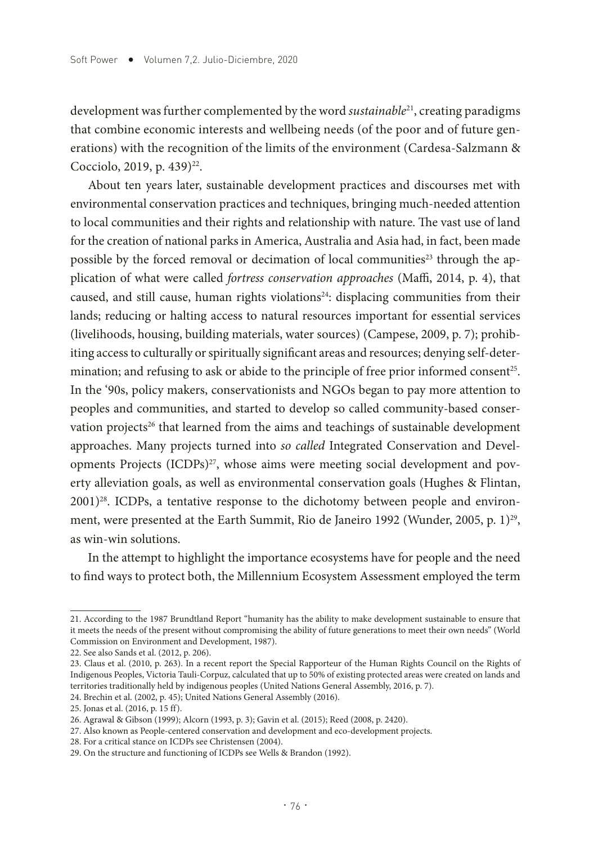development was further complemented by the word *sustainable*21, creating paradigms that combine economic interests and wellbeing needs (of the poor and of future generations) with the recognition of the limits of the environment (Cardesa-Salzmann & Cocciolo, 2019, p. 439)<sup>22</sup>.

About ten years later, sustainable development practices and discourses met with environmental conservation practices and techniques, bringing much-needed attention to local communities and their rights and relationship with nature. The vast use of land for the creation of national parks in America, Australia and Asia had, in fact, been made possible by the forced removal or decimation of local communities<sup>23</sup> through the application of what were called *fortress conservation approaches* (Maffi, 2014, p. 4), that caused, and still cause, human rights violations<sup>24</sup>: displacing communities from their lands; reducing or halting access to natural resources important for essential services (livelihoods, housing, building materials, water sources) (Campese, 2009, p. 7); prohibiting access to culturally or spiritually signifcant areas and resources; denying self-determination; and refusing to ask or abide to the principle of free prior informed consent<sup>25</sup>. In the '90s, policy makers, conservationists and NGOs began to pay more attention to peoples and communities, and started to develop so called community-based conservation projects<sup>26</sup> that learned from the aims and teachings of sustainable development approaches. Many projects turned into *so called* Integrated Conservation and Developments Projects  $(ICDPs)<sup>27</sup>$ , whose aims were meeting social development and poverty alleviation goals, as well as environmental conservation goals (Hughes & Flintan,  $2001)^{28}$ . ICDPs, a tentative response to the dichotomy between people and environment, were presented at the Earth Summit, Rio de Janeiro 1992 (Wunder, 2005, p. 1)<sup>29</sup>, as win-win solutions.

In the attempt to highlight the importance ecosystems have for people and the need to fnd ways to protect both, the Millennium Ecosystem Assessment employed the term

<sup>21.</sup> According to the 1987 Brundtland Report "humanity has the ability to make development sustainable to ensure that it meets the needs of the present without compromising the ability of future generations to meet their own needs" (World Commission on Environment and Development, 1987).

<sup>22.</sup> See also Sands et al. (2012, p. 206).

<sup>23.</sup> Claus et al. (2010, p. 263). In a recent report the Special Rapporteur of the Human Rights Council on the Rights of Indigenous Peoples, Victoria Tauli-Corpuz, calculated that up to 50% of existing protected areas were created on lands and territories traditionally held by indigenous peoples (United Nations General Assembly, 2016, p. 7).

<sup>24.</sup> Brechin et al. (2002, p. 45); United Nations General Assembly (2016).

<sup>25.</sup> Jonas et al. (2016, p. 15 ff).

<sup>26.</sup> Agrawal & Gibson (1999); Alcorn (1993, p. 3); Gavin et al. (2015); Reed (2008, p. 2420).

<sup>27.</sup> Also known as People-centered conservation and development and eco-development projects.

<sup>28.</sup> For a critical stance on ICDPs see Christensen (2004).

<sup>29.</sup> On the structure and functioning of ICDPs see Wells & Brandon (1992).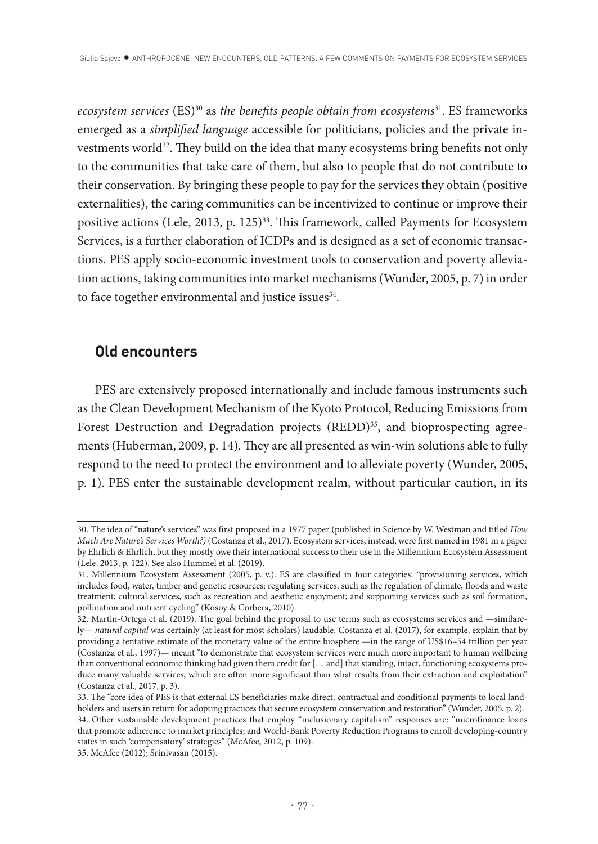*ecosystem services* (ES)30 as *the benefts people obtain from ecosystems*31. ES frameworks emerged as a *simplifed language* accessible for politicians, policies and the private investments world<sup>32</sup>. They build on the idea that many ecosystems bring benefits not only to the communities that take care of them, but also to people that do not contribute to their conservation. By bringing these people to pay for the services they obtain (positive externalities), the caring communities can be incentivized to continue or improve their positive actions (Lele, 2013, p. 125)<sup>33</sup>. This framework, called Payments for Ecosystem Services, is a further elaboration of ICDPs and is designed as a set of economic transactions. PES apply socio-economic investment tools to conservation and poverty alleviation actions, taking communities into market mechanisms (Wunder, 2005, p. 7) in order to face together environmental and justice issues<sup>34</sup>.

#### **Old encounters**

PES are extensively proposed internationally and include famous instruments such as the Clean Development Mechanism of the Kyoto Protocol, Reducing Emissions from Forest Destruction and Degradation projects  $(REDD)^{35}$ , and bioprospecting agreements (Huberman, 2009, p. 14). They are all presented as win-win solutions able to fully respond to the need to protect the environment and to alleviate poverty (Wunder, 2005, p. 1). PES enter the sustainable development realm, without particular caution, in its

<sup>30.</sup> The idea of "nature's services" was first proposed in a 1977 paper (published in Science by W. Westman and titled *How Much Are Nature's Services Worth?)* (Costanza et al., 2017). Ecosystem services, instead, were first named in 1981 in a paper by Ehrlich & Ehrlich, but they mostly owe their international success to their use in the Millennium Ecosystem Assessment (Lele, 2013, p. 122). See also Hummel et al. (2019).

<sup>31.</sup> Millennium Ecosystem Assessment (2005, p. v.). ES are classified in four categories: "provisioning services, which includes food, water, timber and genetic resources; regulating services, such as the regulation of climate, floods and waste treatment; cultural services, such as recreation and aesthetic enjoyment; and supporting services such as soil formation, pollination and nutrient cycling" (Kosoy & Corbera, 2010).

<sup>32.</sup> Martin-Ortega et al. (2019). The goal behind the proposal to use terms such as ecosystems services and —similarely— *natural capital* was certainly (at least for most scholars) laudable. Costanza et al. (2017), for example, explain that by providing a tentative estimate of the monetary value of the entire biosphere —in the range of US\$16–54 trillion per year (Costanza et al., 1997)— meant "to demonstrate that ecosystem services were much more important to human wellbeing than conventional economic thinking had given them credit for [… and] that standing, intact, functioning ecosystems produce many valuable services, which are often more significant than what results from their extraction and exploitation" (Costanza et al., 2017, p. 3).

<sup>33.</sup> The "core idea of PES is that external ES beneficiaries make direct, contractual and conditional payments to local landholders and users in return for adopting practices that secure ecosystem conservation and restoration" (Wunder, 2005, p. 2).

<sup>34.</sup> Other sustainable development practices that employ "inclusionary capitalism" responses are: "microfinance loans that promote adherence to market principles; and World-Bank Poverty Reduction Programs to enroll developing-country states in such 'compensatory' strategies" (McAfee, 2012, p. 109).

<sup>35.</sup> McAfee (2012); Srinivasan (2015).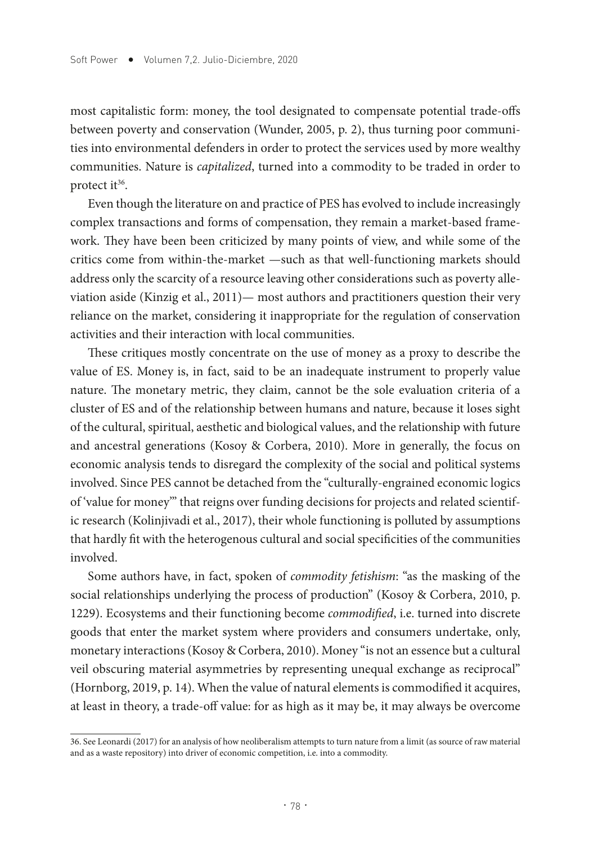most capitalistic form: money, the tool designated to compensate potential trade-ofs between poverty and conservation (Wunder, 2005, p. 2), thus turning poor communities into environmental defenders in order to protect the services used by more wealthy communities. Nature is *capitalized*, turned into a commodity to be traded in order to protect it<sup>36</sup>.

Even though the literature on and practice of PES has evolved to include increasingly complex transactions and forms of compensation, they remain a market-based framework. They have been been criticized by many points of view, and while some of the critics come from within-the-market —such as that well-functioning markets should address only the scarcity of a resource leaving other considerations such as poverty alleviation aside (Kinzig et al., 2011)— most authors and practitioners question their very reliance on the market, considering it inappropriate for the regulation of conservation activities and their interaction with local communities.

These critiques mostly concentrate on the use of money as a proxy to describe the value of ES. Money is, in fact, said to be an inadequate instrument to properly value nature. The monetary metric, they claim, cannot be the sole evaluation criteria of a cluster of ES and of the relationship between humans and nature, because it loses sight of the cultural, spiritual, aesthetic and biological values, and the relationship with future and ancestral generations (Kosoy & Corbera, 2010). More in generally, the focus on economic analysis tends to disregard the complexity of the social and political systems involved. Since PES cannot be detached from the "culturally-engrained economic logics of 'value for money'" that reigns over funding decisions for projects and related scientific research (Kolinjivadi et al., 2017), their whole functioning is polluted by assumptions that hardly ft with the heterogenous cultural and social specifcities of the communities involved.

Some authors have, in fact, spoken of *commodity fetishism*: "as the masking of the social relationships underlying the process of production" (Kosoy & Corbera, 2010, p. 1229). Ecosystems and their functioning become *commodifed*, i.e. turned into discrete goods that enter the market system where providers and consumers undertake, only, monetary interactions (Kosoy & Corbera, 2010). Money "is not an essence but a cultural veil obscuring material asymmetries by representing unequal exchange as reciprocal" (Hornborg, 2019, p. 14). When the value of natural elements is commodifed it acquires, at least in theory, a trade-of value: for as high as it may be, it may always be overcome

<sup>36.</sup> See Leonardi (2017) for an analysis of how neoliberalism attempts to turn nature from a limit (as source of raw material and as a waste repository) into driver of economic competition, i.e. into a commodity.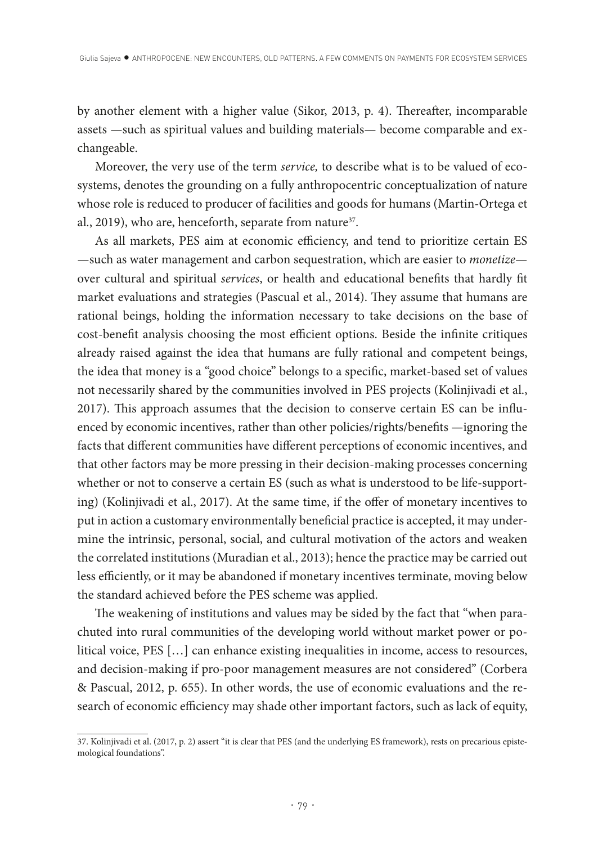by another element with a higher value (Sikor, 2013, p. 4). Thereafter, incomparable assets —such as spiritual values and building materials— become comparable and exchangeable.

Moreover, the very use of the term *service,* to describe what is to be valued of ecosystems, denotes the grounding on a fully anthropocentric conceptualization of nature whose role is reduced to producer of facilities and goods for humans (Martin-Ortega et al., 2019), who are, henceforth, separate from nature<sup>37</sup>.

As all markets, PES aim at economic efficiency, and tend to prioritize certain ES —such as water management and carbon sequestration, which are easier to *monetize* over cultural and spiritual *services*, or health and educational benefts that hardly ft market evaluations and strategies (Pascual et al., 2014). They assume that humans are rational beings, holding the information necessary to take decisions on the base of cost-benefit analysis choosing the most efficient options. Beside the infinite critiques already raised against the idea that humans are fully rational and competent beings, the idea that money is a "good choice" belongs to a specifc, market-based set of values not necessarily shared by the communities involved in PES projects (Kolinjivadi et al., 2017). Tis approach assumes that the decision to conserve certain ES can be infuenced by economic incentives, rather than other policies/rights/benefts —ignoring the facts that diferent communities have diferent perceptions of economic incentives, and that other factors may be more pressing in their decision-making processes concerning whether or not to conserve a certain ES (such as what is understood to be life-supporting) (Kolinjivadi et al., 2017). At the same time, if the offer of monetary incentives to put in action a customary environmentally benefcial practice is accepted, it may undermine the intrinsic, personal, social, and cultural motivation of the actors and weaken the correlated institutions (Muradian et al., 2013); hence the practice may be carried out less efficiently, or it may be abandoned if monetary incentives terminate, moving below the standard achieved before the PES scheme was applied.

The weakening of institutions and values may be sided by the fact that "when parachuted into rural communities of the developing world without market power or political voice, PES […] can enhance existing inequalities in income, access to resources, and decision-making if pro-poor management measures are not considered" (Corbera & Pascual, 2012, p. 655). In other words, the use of economic evaluations and the research of economic efficiency may shade other important factors, such as lack of equity,

<sup>37.</sup> Kolinjivadi et al. (2017, p. 2) assert "it is clear that PES (and the underlying ES framework), rests on precarious epistemological foundations".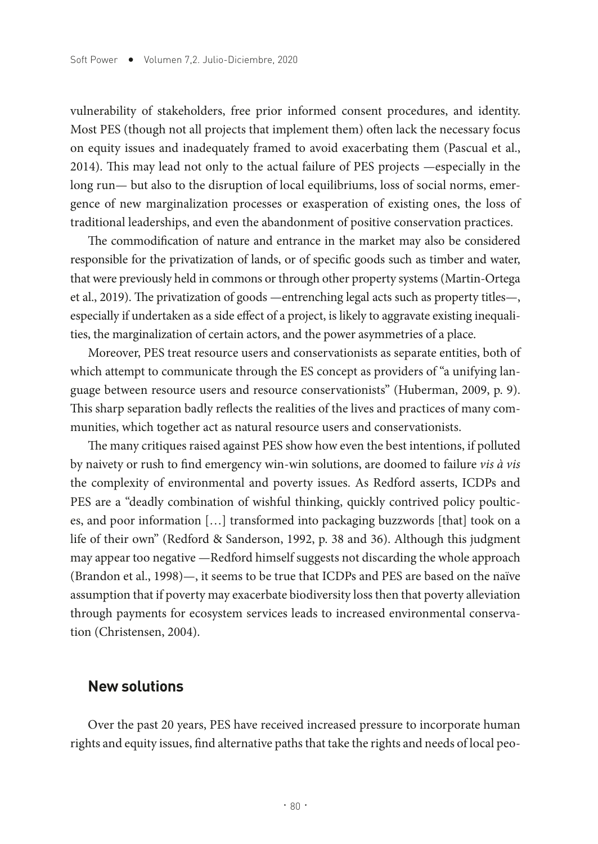vulnerability of stakeholders, free prior informed consent procedures, and identity. Most PES (though not all projects that implement them) ofen lack the necessary focus on equity issues and inadequately framed to avoid exacerbating them (Pascual et al., 2014). Tis may lead not only to the actual failure of PES projects —especially in the long run— but also to the disruption of local equilibriums, loss of social norms, emergence of new marginalization processes or exasperation of existing ones, the loss of traditional leaderships, and even the abandonment of positive conservation practices.

The commodification of nature and entrance in the market may also be considered responsible for the privatization of lands, or of specifc goods such as timber and water, that were previously held in commons or through other property systems (Martin-Ortega et al., 2019). The privatization of goods —entrenching legal acts such as property titles—, especially if undertaken as a side effect of a project, is likely to aggravate existing inequalities, the marginalization of certain actors, and the power asymmetries of a place.

Moreover, PES treat resource users and conservationists as separate entities, both of which attempt to communicate through the ES concept as providers of "a unifying language between resource users and resource conservationists" (Huberman, 2009, p. 9). This sharp separation badly reflects the realities of the lives and practices of many communities, which together act as natural resource users and conservationists.

The many critiques raised against PES show how even the best intentions, if polluted by naivety or rush to fnd emergency win-win solutions, are doomed to failure *vis à vis*  the complexity of environmental and poverty issues. As Redford asserts, ICDPs and PES are a "deadly combination of wishful thinking, quickly contrived policy poultices, and poor information […] transformed into packaging buzzwords [that] took on a life of their own" (Redford & Sanderson, 1992, p. 38 and 36). Although this judgment may appear too negative —Redford himself suggests not discarding the whole approach (Brandon et al., 1998)—, it seems to be true that ICDPs and PES are based on the naïve assumption that if poverty may exacerbate biodiversity loss then that poverty alleviation through payments for ecosystem services leads to increased environmental conservation (Christensen, 2004).

#### **New solutions**

Over the past 20 years, PES have received increased pressure to incorporate human rights and equity issues, fnd alternative paths that take the rights and needs of local peo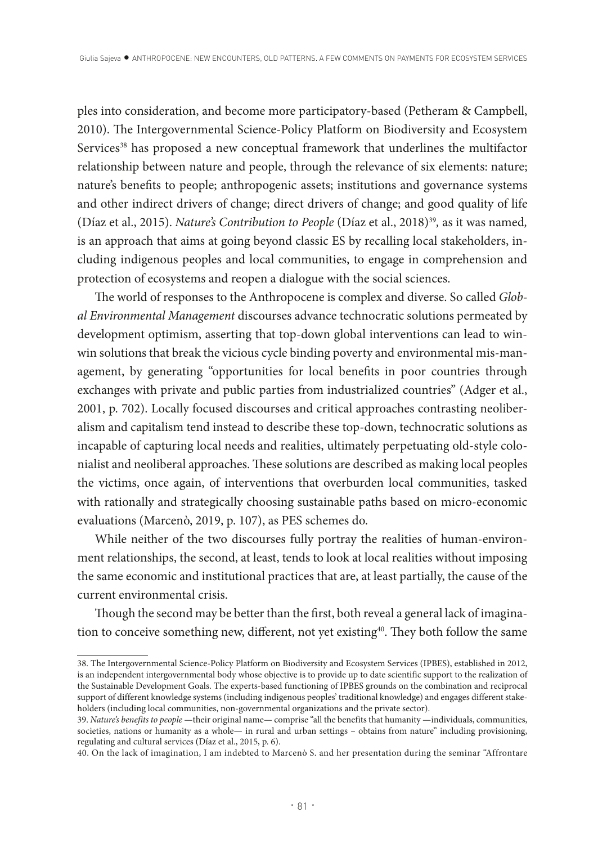ples into consideration, and become more participatory-based (Petheram & Campbell, 2010). The Intergovernmental Science-Policy Platform on Biodiversity and Ecosystem Services<sup>38</sup> has proposed a new conceptual framework that underlines the multifactor relationship between nature and people, through the relevance of six elements: nature; nature's benefts to people; anthropogenic assets; institutions and governance systems and other indirect drivers of change; direct drivers of change; and good quality of life (Díaz et al., 2015). *Nature's Contribution to People* (Díaz et al., 2018)39*,* as it was named*,* is an approach that aims at going beyond classic ES by recalling local stakeholders, including indigenous peoples and local communities, to engage in comprehension and protection of ecosystems and reopen a dialogue with the social sciences.

The world of responses to the Anthropocene is complex and diverse. So called *Global Environmental Management* discourses advance technocratic solutions permeated by development optimism, asserting that top-down global interventions can lead to winwin solutions that break the vicious cycle binding poverty and environmental mis-management, by generating "opportunities for local benefts in poor countries through exchanges with private and public parties from industrialized countries" (Adger et al., 2001, p. 702). Locally focused discourses and critical approaches contrasting neoliberalism and capitalism tend instead to describe these top-down, technocratic solutions as incapable of capturing local needs and realities, ultimately perpetuating old-style colonialist and neoliberal approaches. Tese solutions are described as making local peoples the victims, once again, of interventions that overburden local communities, tasked with rationally and strategically choosing sustainable paths based on micro-economic evaluations (Marcenò, 2019, p. 107), as PES schemes do.

While neither of the two discourses fully portray the realities of human-environment relationships, the second, at least, tends to look at local realities without imposing the same economic and institutional practices that are, at least partially, the cause of the current environmental crisis.

Though the second may be better than the first, both reveal a general lack of imagination to conceive something new, different, not yet existing<sup>40</sup>. They both follow the same

<sup>38.</sup> The Intergovernmental Science-Policy Platform on Biodiversity and Ecosystem Services (IPBES), established in 2012, is an independent intergovernmental body whose objective is to provide up to date scientific support to the realization of the Sustainable Development Goals. The experts-based functioning of IPBES grounds on the combination and reciprocal support of different knowledge systems (including indigenous peoples' traditional knowledge) and engages different stakeholders (including local communities, non-governmental organizations and the private sector).

<sup>39.</sup> *Nature's benefits to people* —their original name— comprise "all the benefits that humanity —individuals, communities, societies, nations or humanity as a whole— in rural and urban settings – obtains from nature" including provisioning, regulating and cultural services (Díaz et al., 2015, p. 6).

<sup>40.</sup> On the lack of imagination, I am indebted to Marcenò S. and her presentation during the seminar "Affrontare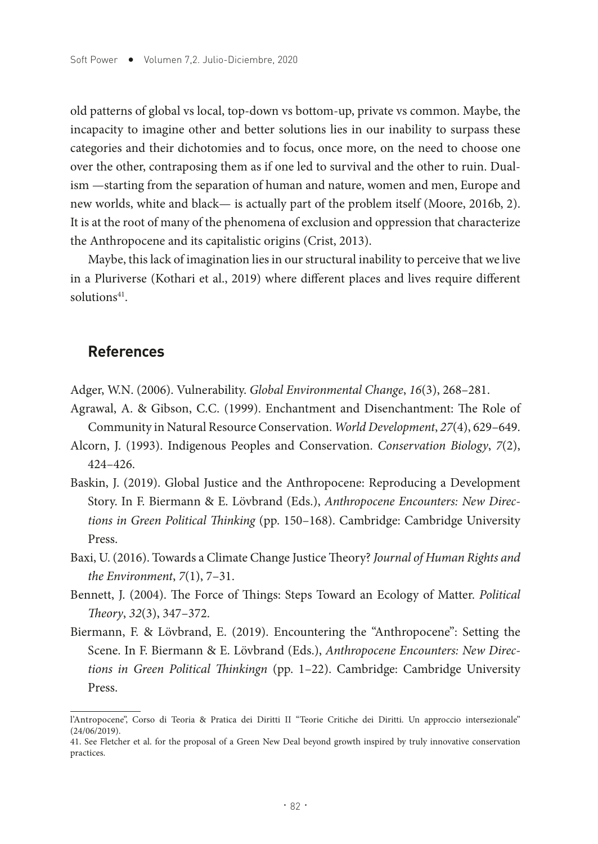old patterns of global vs local, top-down vs bottom-up, private vs common. Maybe, the incapacity to imagine other and better solutions lies in our inability to surpass these categories and their dichotomies and to focus, once more, on the need to choose one over the other, contraposing them as if one led to survival and the other to ruin. Dualism —starting from the separation of human and nature, women and men, Europe and new worlds, white and black— is actually part of the problem itself (Moore, 2016b, 2). It is at the root of many of the phenomena of exclusion and oppression that characterize the Anthropocene and its capitalistic origins (Crist, 2013).

Maybe, this lack of imagination lies in our structural inability to perceive that we live in a Pluriverse (Kothari et al., 2019) where diferent places and lives require diferent solutions<sup>41</sup>.

#### **References**

- Adger, W.N. (2006). Vulnerability. *Global Environmental Change*, *16*(3), 268–281.
- Agrawal, A. & Gibson, C.C. (1999). Enchantment and Disenchantment: The Role of Community in Natural Resource Conservation. *World Development*, *27*(4), 629–649.
- Alcorn, J. (1993). Indigenous Peoples and Conservation. *Conservation Biology*, *7*(2), 424–426.
- Baskin, J. (2019). Global Justice and the Anthropocene: Reproducing a Development Story. In F. Biermann & E. Lövbrand (Eds.), *Anthropocene Encounters: New Directions in Green Political Tinking* (pp. 150–168). Cambridge: Cambridge University Press.
- Baxi, U. (2016). Towards a Climate Change Justice Theory? *Journal of Human Rights and the Environment*, *7*(1), 7–31.
- Bennett, J. (2004). The Force of Things: Steps Toward an Ecology of Matter. *Political Teory*, *32*(3), 347–372.
- Biermann, F. & Lövbrand, E. (2019). Encountering the "Anthropocene": Setting the Scene. In F. Biermann & E. Lövbrand (Eds.), *Anthropocene Encounters: New Directions in Green Political Tinkingn* (pp. 1–22). Cambridge: Cambridge University Press.

l'Antropocene", Corso di Teoria & Pratica dei Diritti II "Teorie Critiche dei Diritti. Un approccio intersezionale" (24/06/2019).

<sup>41.</sup> See Fletcher et al. for the proposal of a Green New Deal beyond growth inspired by truly innovative conservation practices.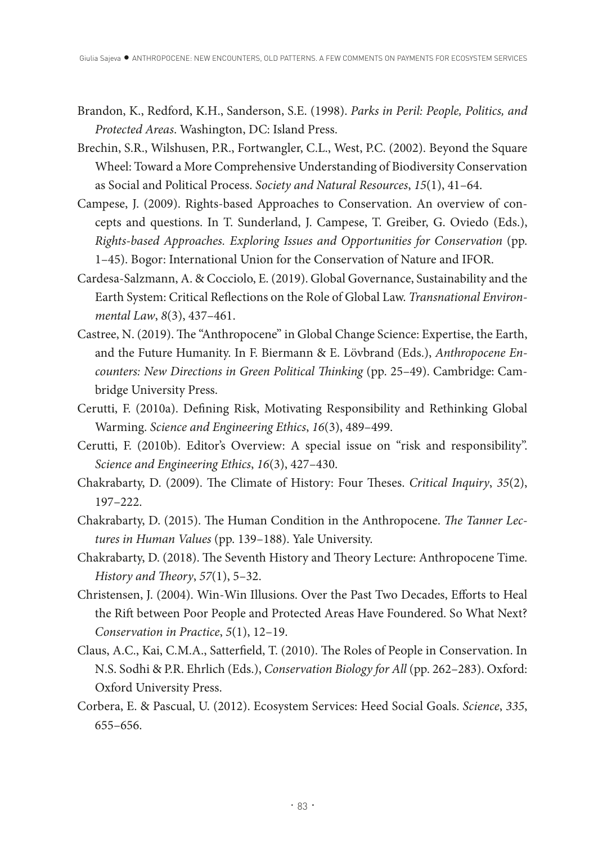- Brandon, K., Redford, K.H., Sanderson, S.E. (1998). *Parks in Peril: People, Politics, and Protected Areas*. Washington, DC: Island Press.
- Brechin, S.R., Wilshusen, P.R., Fortwangler, C.L., West, P.C. (2002). Beyond the Square Wheel: Toward a More Comprehensive Understanding of Biodiversity Conservation as Social and Political Process. *Society and Natural Resources*, *15*(1), 41–64.
- Campese, J. (2009). Rights-based Approaches to Conservation. An overview of concepts and questions. In T. Sunderland, J. Campese, T. Greiber, G. Oviedo (Eds.), *Rights-based Approaches. Exploring Issues and Opportunities for Conservation* (pp. 1–45). Bogor: International Union for the Conservation of Nature and IFOR.
- Cardesa-Salzmann, A. & Cocciolo, E. (2019). Global Governance, Sustainability and the Earth System: Critical Refections on the Role of Global Law. *Transnational Environmental Law*, *8*(3), 437–461.
- Castree, N. (2019). The "Anthropocene" in Global Change Science: Expertise, the Earth, and the Future Humanity. In F. Biermann & E. Lövbrand (Eds.), *Anthropocene Encounters: New Directions in Green Political Tinking* (pp. 25–49). Cambridge: Cambridge University Press.
- Cerutti, F. (2010a). Defning Risk, Motivating Responsibility and Rethinking Global Warming. *Science and Engineering Ethics*, *16*(3), 489–499.
- Cerutti, F. (2010b). Editor's Overview: A special issue on "risk and responsibility". *Science and Engineering Ethics*, *16*(3), 427–430.
- Chakrabarty, D. (2009). The Climate of History: Four Theses. *Critical Inquiry*, 35(2), 197–222.
- Chakrabarty, D. (2015). The Human Condition in the Anthropocene. *The Tanner Lectures in Human Values* (pp. 139–188). Yale University.
- Chakrabarty, D. (2018). The Seventh History and Theory Lecture: Anthropocene Time. *History and Theory*, 57(1), 5-32.
- Christensen, J. (2004). Win-Win Illusions. Over the Past Two Decades, Eforts to Heal the Rif between Poor People and Protected Areas Have Foundered. So What Next? *Conservation in Practice*, *5*(1), 12–19.
- Claus, A.C., Kai, C.M.A., Satterfield, T. (2010). The Roles of People in Conservation. In N.S. Sodhi & P.R. Ehrlich (Eds.), *Conservation Biology for All* (pp. 262–283). Oxford: Oxford University Press.
- Corbera, E. & Pascual, U. (2012). Ecosystem Services: Heed Social Goals. *Science*, *335*, 655–656.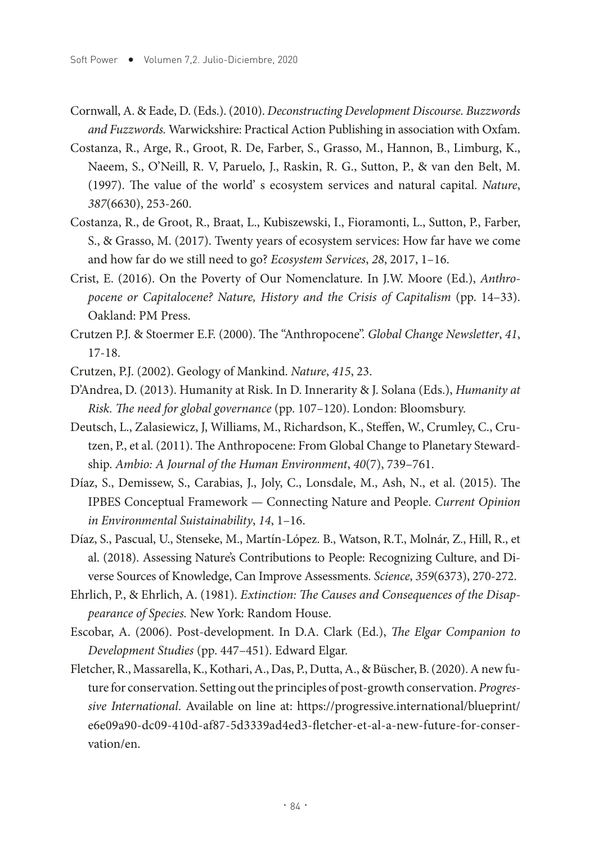- Cornwall, A. & Eade, D. (Eds.). (2010). *Deconstructing Development Discourse. Buzzwords and Fuzzwords.* Warwickshire: Practical Action Publishing in association with Oxfam.
- Costanza, R., Arge, R., Groot, R. De, Farber, S., Grasso, M., Hannon, B., Limburg, K., Naeem, S., O'Neill, R. V, Paruelo, J., Raskin, R. G., Sutton, P., & van den Belt, M. (1997). The value of the world' s ecosystem services and natural capital. *Nature*, *387*(6630), 253-260.
- Costanza, R., de Groot, R., Braat, L., Kubiszewski, I., Fioramonti, L., Sutton, P., Farber, S., & Grasso, M. (2017). Twenty years of ecosystem services: How far have we come and how far do we still need to go? *Ecosystem Services*, *28*, 2017, 1–16.
- Crist, E. (2016). On the Poverty of Our Nomenclature. In J.W. Moore (Ed.), *Anthropocene or Capitalocene? Nature, History and the Crisis of Capitalism (pp. 14–33).* Oakland: PM Press.
- Crutzen P.J. & Stoermer E.F. (2000). Te "Anthropocene". *Global Change Newsletter*, *41*, 17-18.
- Crutzen, P.J. (2002). Geology of Mankind. *Nature*, *415*, 23.
- D'Andrea, D. (2013). Humanity at Risk. In D. Innerarity & J. Solana (Eds.), *Humanity at Risk. The need for global governance* (pp. 107–120). London: Bloomsbury.
- Deutsch, L., Zalasiewicz, J, Williams, M., Richardson, K., Stefen, W., Crumley, C., Crutzen, P., et al. (2011). The Anthropocene: From Global Change to Planetary Stewardship. *Ambio: A Journal of the Human Environment*, *40*(7), 739–761.
- Díaz, S., Demissew, S., Carabias, J., Joly, C., Lonsdale, M., Ash, N., et al. (2015). The IPBES Conceptual Framework — Connecting Nature and People. *Current Opinion in Environmental Suistainability*, *14*, 1–16.
- Díaz, S., Pascual, U., Stenseke, M., Martín-López. B., Watson, R.T., Molnár, Z., Hill, R., et al. (2018). Assessing Nature's Contributions to People: Recognizing Culture, and Diverse Sources of Knowledge, Can Improve Assessments. *Science*, *359*(6373), 270-272.
- Ehrlich, P., & Ehrlich, A. (1981). *Extinction: The Causes and Consequences of the Disappearance of Species.* New York: Random House.
- Escobar, A. (2006). Post-development. In D.A. Clark (Ed.), *Te Elgar Companion to Development Studies* (pp. 447–451). Edward Elgar.
- Fletcher, R., Massarella, K., Kothari, A., Das, P., Dutta, A., & Büscher, B. (2020). A new future for conservation. Setting out the principles of post-growth conservation. *Progressive International*. Available on line at: https://progressive.international/blueprint/ e6e09a90-dc09-410d-af87-5d3339ad4ed3-fetcher-et-al-a-new-future-for-conservation/en.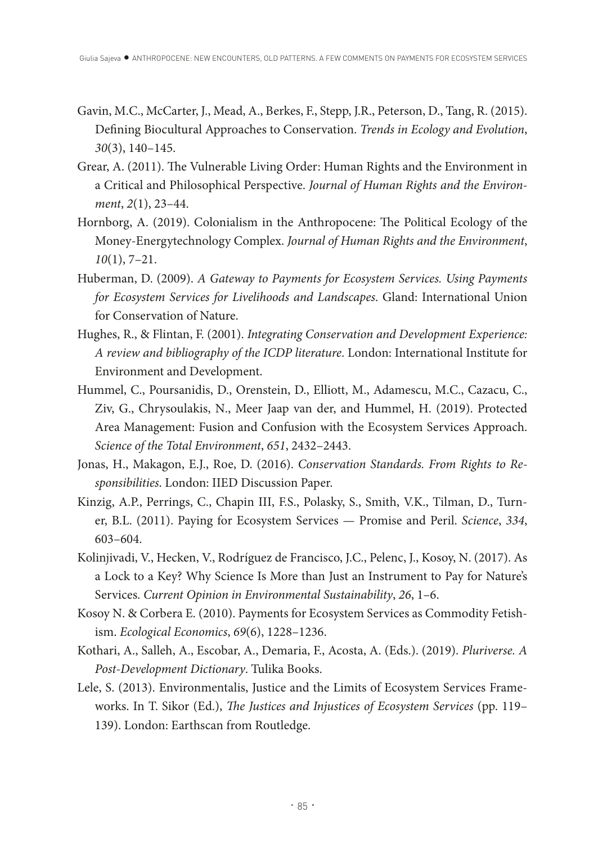- Gavin, M.C., McCarter, J., Mead, A., Berkes, F., Stepp, J.R., Peterson, D., Tang, R. (2015). Defning Biocultural Approaches to Conservation. *Trends in Ecology and Evolution*, *30*(3), 140–145.
- Grear, A. (2011). The Vulnerable Living Order: Human Rights and the Environment in a Critical and Philosophical Perspective. *Journal of Human Rights and the Environment*, *2*(1), 23–44.
- Hornborg, A. (2019). Colonialism in the Anthropocene: The Political Ecology of the Money-Energytechnology Complex. *Journal of Human Rights and the Environment*, *10*(1), 7–21.
- Huberman, D. (2009). *A Gateway to Payments for Ecosystem Services. Using Payments for Ecosystem Services for Livelihoods and Landscapes*. Gland: International Union for Conservation of Nature.
- Hughes, R., & Flintan, F. (2001). *Integrating Conservation and Development Experience: A review and bibliography of the ICDP literature*. London: International Institute for Environment and Development.
- Hummel, C., Poursanidis, D., Orenstein, D., Elliott, M., Adamescu, M.C., Cazacu, C., Ziv, G., Chrysoulakis, N., Meer Jaap van der, and Hummel, H. (2019). Protected Area Management: Fusion and Confusion with the Ecosystem Services Approach. *Science of the Total Environment*, *651*, 2432–2443.
- Jonas, H., Makagon, E.J., Roe, D. (2016). *Conservation Standards. From Rights to Responsibilities*. London: IIED Discussion Paper.
- Kinzig, A.P., Perrings, C., Chapin III, F.S., Polasky, S., Smith, V.K., Tilman, D., Turner, B.L. (2011). Paying for Ecosystem Services — Promise and Peril. *Science*, *334*, 603–604.
- Kolinjivadi, V., Hecken, V., Rodríguez de Francisco, J.C., Pelenc, J., Kosoy, N. (2017). As a Lock to a Key? Why Science Is More than Just an Instrument to Pay for Nature's Services. *Current Opinion in Environmental Sustainability*, *26*, 1–6.
- Kosoy N. & Corbera E. (2010). Payments for Ecosystem Services as Commodity Fetishism. *Ecological Economics*, *69*(6), 1228–1236.
- Kothari, A., Salleh, A., Escobar, A., Demaria, F., Acosta, A. (Eds.). (2019). *Pluriverse. A Post-Development Dictionary*. Tulika Books.
- Lele, S. (2013). Environmentalis, Justice and the Limits of Ecosystem Services Frameworks. In T. Sikor (Ed.), *The Justices and Injustices of Ecosystem Services* (pp. 119-139). London: Earthscan from Routledge.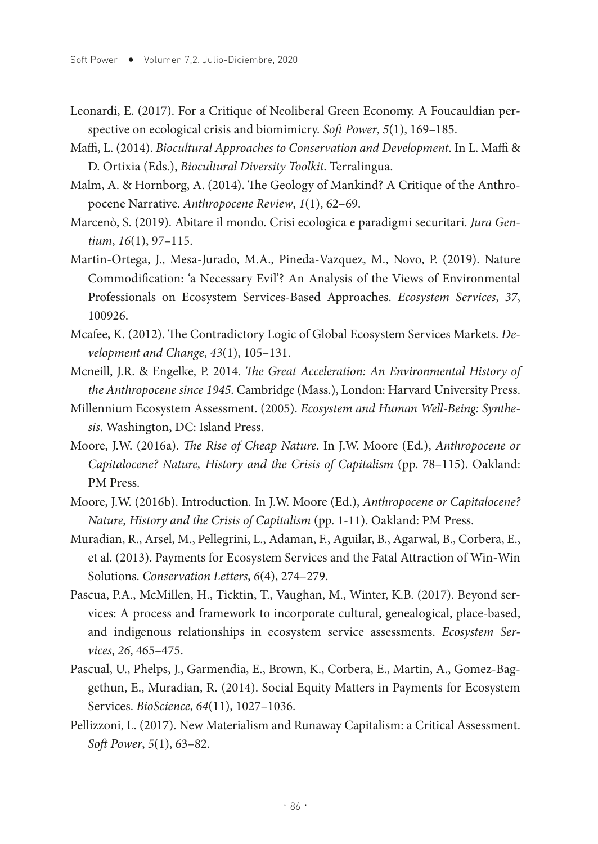- Leonardi, E. (2017). For a Critique of Neoliberal Green Economy. A Foucauldian perspective on ecological crisis and biomimicry. *Soft Power*, *5*(1), 169-185.
- Maffi, L. (2014). *Biocultural Approaches to Conservation and Development*. In L. Maffi & D. Ortixia (Eds.), *Biocultural Diversity Toolkit*. Terralingua.
- Malm, A. & Hornborg, A. (2014). The Geology of Mankind? A Critique of the Anthropocene Narrative. *Anthropocene Review*, *1*(1), 62–69.
- Marcenò, S. (2019). Abitare il mondo. Crisi ecologica e paradigmi securitari. *Jura Gentium*, *16*(1), 97–115.
- Martin-Ortega, J., Mesa-Jurado, M.A., Pineda-Vazquez, M., Novo, P. (2019). Nature Commodifcation: 'a Necessary Evil'? An Analysis of the Views of Environmental Professionals on Ecosystem Services-Based Approaches. *Ecosystem Services*, *37*, 100926.
- Mcafee, K. (2012). The Contradictory Logic of Global Ecosystem Services Markets. *Development and Change*, *43*(1), 105–131.
- Mcneill, J.R. & Engelke, P. 2014. *Te Great Acceleration: An Environmental History of the Anthropocene since 1945*. Cambridge (Mass.), London: Harvard University Press.
- Millennium Ecosystem Assessment. (2005). *Ecosystem and Human Well-Being: Synthesis*. Washington, DC: Island Press.
- Moore, J.W. (2016a). *Te Rise of Cheap Nature*. In J.W. Moore (Ed.), *Anthropocene or Capitalocene? Nature, History and the Crisis of Capitalism* (pp. 78–115). Oakland: PM Press.
- Moore, J.W. (2016b). Introduction. In J.W. Moore (Ed.), *Anthropocene or Capitalocene? Nature, History and the Crisis of Capitalism* (pp. 1-11). Oakland: PM Press.
- Muradian, R., Arsel, M., Pellegrini, L., Adaman, F., Aguilar, B., Agarwal, B., Corbera, E., et al. (2013). Payments for Ecosystem Services and the Fatal Attraction of Win-Win Solutions. *Conservation Letters*, *6*(4), 274–279.
- Pascua, P.A., McMillen, H., Ticktin, T., Vaughan, M., Winter, K.B. (2017). Beyond services: A process and framework to incorporate cultural, genealogical, place-based, and indigenous relationships in ecosystem service assessments. *Ecosystem Services*, *26*, 465–475.
- Pascual, U., Phelps, J., Garmendia, E., Brown, K., Corbera, E., Martin, A., Gomez-Baggethun, E., Muradian, R. (2014). Social Equity Matters in Payments for Ecosystem Services. *BioScience*, *64*(11), 1027–1036.
- Pellizzoni, L. (2017). New Materialism and Runaway Capitalism: a Critical Assessment. *Soft Power*, *5*(1), 63–82.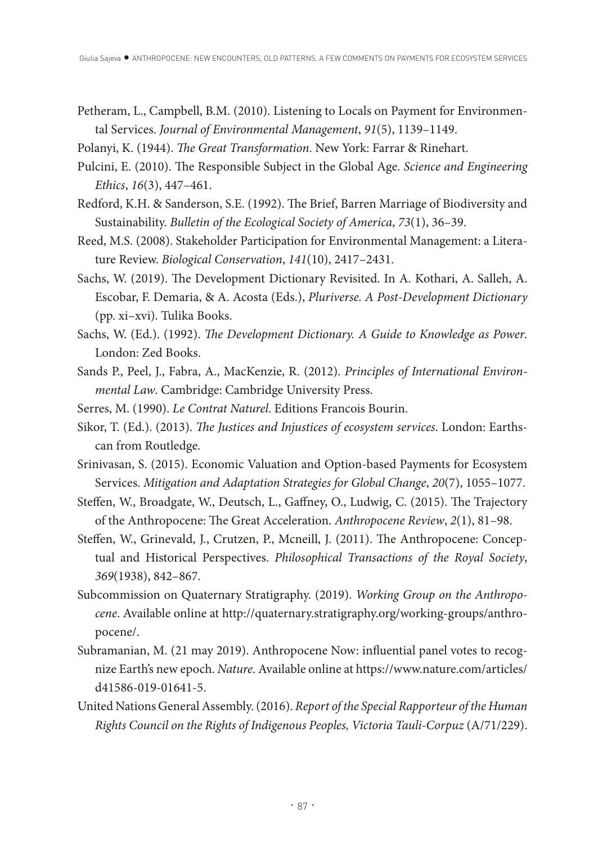- Petheram, L., Campbell, B.M. (2010). Listening to Locals on Payment for Environmental Services. *Journal of Environmental Management*, *91*(5), 1139–1149.
- Polanyi, K. (1944). *The Great Transformation*. New York: Farrar & Rinehart.
- Pulcini, E. (2010). The Responsible Subject in the Global Age. *Science and Engineering Ethics*, *16*(3), 447–461.
- Redford, K.H. & Sanderson, S.E. (1992). The Brief, Barren Marriage of Biodiversity and Sustainability. *Bulletin of the Ecological Society of America*, *73*(1), 36–39.
- Reed, M.S. (2008). Stakeholder Participation for Environmental Management: a Literature Review. *Biological Conservation*, *141*(10), 2417–2431.
- Sachs, W. (2019). The Development Dictionary Revisited. In A. Kothari, A. Salleh, A. Escobar, F. Demaria, & A. Acosta (Eds.), *Pluriverse. A Post-Development Dictionary* (pp. xi–xvi). Tulika Books.
- Sachs, W. (Ed.). (1992). *The Development Dictionary. A Guide to Knowledge as Power*. London: Zed Books.
- Sands P., Peel, J., Fabra, A., MacKenzie, R. (2012). *Principles of International Environmental Law*. Cambridge: Cambridge University Press.
- Serres, M. (1990). *Le Contrat Naturel*. Editions Francois Bourin.
- Sikor, T. (Ed.). (2013). *The Justices and Injustices of ecosystem services*. London: Earthscan from Routledge.
- Srinivasan, S. (2015). Economic Valuation and Option-based Payments for Ecosystem Services. *Mitigation and Adaptation Strategies for Global Change*, *20*(7), 1055–1077.
- Steffen, W., Broadgate, W., Deutsch, L., Gaffney, O., Ludwig, C. (2015). The Trajectory of the Anthropocene: The Great Acceleration. *Anthropocene Review*, 2(1), 81-98.
- Steffen, W., Grinevald, J., Crutzen, P., Mcneill, J. (2011). The Anthropocene: Conceptual and Historical Perspectives. *Philosophical Transactions of the Royal Society*, *369*(1938), 842–867.
- Subcommission on Quaternary Stratigraphy. (2019). *Working Group on the Anthropocene*. Available online at http://quaternary.stratigraphy.org/working-groups/anthropocene/.
- Subramanian, M. (21 may 2019). Anthropocene Now: infuential panel votes to recognize Earth's new epoch. *Nature*. Available online at https://www.nature.com/articles/ d41586-019-01641-5.
- United Nations General Assembly. (2016). *Report of the Special Rapporteur of the Human Rights Council on the Rights of Indigenous Peoples, Victoria Tauli-Corpuz* (A/71/229).